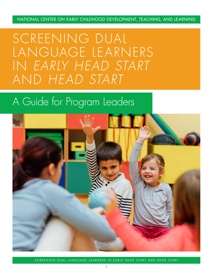NATIONAL CENTER ON EARLY CHILDHOOD DEVELOPMENT, TEACHING, AND LEARNING

SCREENING DUAL LANGUAGE LEARNERS IN *EARLY HEAD START* AND *HEAD START*

## A Guide for Program Leaders



SCREENING DUAL LANGUAGE LEARNERS IN EARLY HEAD START AND HEAD START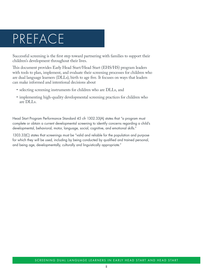## PREFACE

Successful screening is the first step toward partnering with families to support their children's development throughout their lives.

This document provides Early Head Start/Head Start (EHS/HS) program leaders with tools to plan, implement, and evaluate their screening processes for children who are dual language learners (DLLs), birth to age five. It focuses on ways that leaders can make informed and intentional decisions about

- selecting screening instruments for children who are DLLs, and
- implementing high-quality developmental screening practices for children who are DLLs.

Head Start Program Performance Standard 45 cfr 1302.33(A) states that "a program must complete or obtain a current developmental screening to identify concerns regarding a child's developmental, behavioral, motor, language, social, cognitive, and emotional skills."

1303.33(C) states that screenings must be "valid and reliable for the population and purpose for which they will be used, including by being conducted by qualified and trained personal, and being age, developmentally, culturally and linguistically appropriate."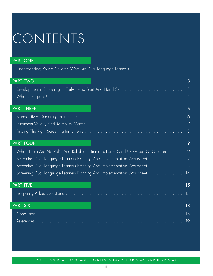## CONTENTS

| <b>PART ONE</b>                                                                     |
|-------------------------------------------------------------------------------------|
|                                                                                     |
| <b>PART TWO</b><br>3                                                                |
| $\mathcal{S}$                                                                       |
| $\overline{4}$                                                                      |
| <b>PART THREE</b><br>6                                                              |
|                                                                                     |
|                                                                                     |
| -8                                                                                  |
| <b>PART FOUR</b><br>9                                                               |
| When There Are No Valid And Reliable Instruments For A Child Or Group Of Children 9 |
| Screening Dual Language Learners Planning And Implementation Worksheet 12           |
| Screening Dual Language Learners Planning And Implementation Worksheet 13           |
| Screening Dual Language Learners Planning And Implementation Worksheet 14           |
| <b>PART FIVE</b><br>15                                                              |
| . 15                                                                                |
| <b>PART SIX</b><br>18                                                               |
|                                                                                     |
| 19<br><b>References</b>                                                             |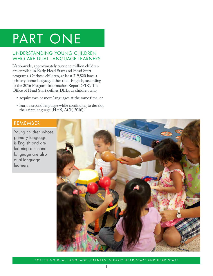## <span id="page-3-0"></span>PART ONE

## UNDERSTANDING YOUNG CHILDREN WHO ARE DUAL LANGUAGE LEARNERS

Nationwide, approximately over one million children are enrolled in Early Head Start and Head Start programs. Of those children, at least 319,820 have a primary home language other than English, according to the 2016 Program Information Report (PIR). The Office of Head Start defines DLLs as children who

- acquire two or more languages at the same time, or
- learn a second language while continuing to develop their first language (HHS, ACF, 2016).

## REMEMBER

Young children whose primary language is English and are learning a second language are also dual language learners.

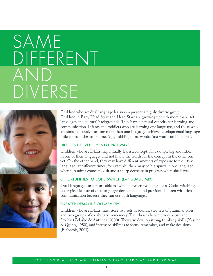# SAME DIFFERENT AND DIVERSE



Children who are dual language learners represent a highly diverse group. Children in Early Head Start and Head Start are growing up with more than 140 languages and cultural backgrounds. They have a natural capacity for learning and communication. Infants and toddlers who are learning one language, and those who are simultaneously learning more than one language, achieve developmental language milestones at the same time, (e.g., babbling, first words, first word combinations).

#### DIFFERENT DEVELOPMENTAL PATHWAYS

Children who are DLLs may initially learn a concept, for example big and little, in one of their languages and not know the words for the concept in the other one yet. On the other hand, they may have different amounts of exposure to their two languages at different times; for example, there may be big spurts in one language when Grandma comes to visit and a sharp decrease in progress when she leaves.

#### OPPORTUNITIES TO CODE SWITCH (LANGUAGE MIX)

Dual language learners are able to switch between two languages. Code switching is a typical feature of dual language development and provides children with rich communication because they can use both languages.

#### GREATER DEMANDS ON MEMORY

Children who are DLLs must store two sets of sounds, two sets of grammar rules, and two groups of vocabulary in memory. Their brains become very active and flexible (Zelasko & Antunez, 2000). They also develop strong thinking skills (Kessler & Quinn, 1980), and increased abilities to focus, remember, and make decisions (Bialystok, 2001).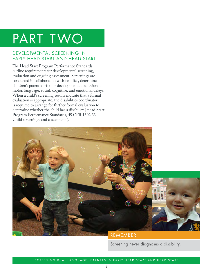## <span id="page-5-0"></span>PART TWO

## DEVELOPMENTAL SCREENING IN EARLY HEAD START AND HEAD START

The Head Start Program Performance Standards outline requirements for developmental screening, evaluation and ongoing assessment. Screenings are conducted in collaboration with families, determine children's potential risk for developmental, behavioral, motor, language, social, cognitive, and emotional delays. When a child's screening results indicate that a formal evaluation is appropriate, the disabilities coordinator is required to arrange for further formal evaluation to determine whether the child has a disability (Head Start Program Performance Standards, 45 CFR 1302.33 Child screenings and assessments).



## REMEMBER

Screening never diagnoses a disability.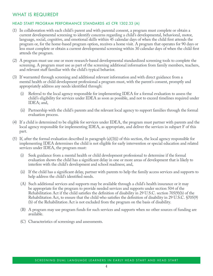### <span id="page-6-0"></span>WHAT IS REQUIRED?

#### HEAD START PROGRAM PERFORMANCE STANDARDS 45 CFR 1302.33 (A)

- (1) In collaboration with each child's parent and with parental consent, a program must complete or obtain a current developmental screening to identify concerns regarding a child's developmental, behavioral, motor, language, social, cognitive, and emotional skills within 45 calendar days of when the child first attends the program or, for the home-based program option, receives a home visit. A program that operates for 90 days or less must complete or obtain a current developmental screening within 30 calendar days of when the child first attends the program.
- (2) A program must use one or more research-based developmental standardized screening tools to complete the screening. A program must use as part of the screening additional information from family members, teachers, and relevant staff familiar with the child's typical behavior.
- (3) If warranted through screening and additional relevant information and with direct guidance from a mental health or child development professional a program must, with the parent's consent, promptly and appropriately address any needs identified through:
	- (i) Referral to the local agency responsible for implementing IDEA for a formal evaluation to assess the child's eligibility for services under IDEA as soon as possible, and not to exceed timelines required under IDEA; and,
	- (ii) Partnership with the child's parents and the relevant local agency to support families through the formal evaluation process.
- (4) If a child is determined to be eligible for services under IDEA, the program must partner with parents and the local agency responsible for implementing IDEA, as appropriate, and deliver the services in subpart F of this part.
- (5) If, after the formal evaluation described in paragraph (a)(3)(i) of this section, the local agency responsible for implementing IDEA determines the child is not eligible for early intervention or special education and related services under IDEA, the program must:
	- (i) Seek guidance from a mental health or child development professional to determine if the formal evaluation shows the child has a significant delay in one or more areas of development that is likely to interfere with the child's development and school readiness; and,
	- (ii) If the child has a significant delay, partner with parents to help the family access services and supports to help address the child's identified needs.
	- (A) Such additional services and supports may be available through a child's health insurance or it may be appropriate for the program to provide needed services and supports under section 504 of the Rehabilitation Act if the child satisfies the definition of disability in 29 U.S.C. section 705(9)(b) of the Rehabilitation Act, to ensure that the child who satisfies the definition of disability in 29 U.S.C. §705(9) (b) of the Rehabilitation Act is not excluded from the program on the basis of disability.
	- (B) A program may use program funds for such services and supports when no other sources of funding are available.
	- (C) Characteristics of screenings and assessments.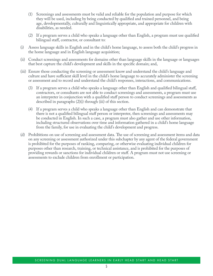- (1) Screenings and assessments must be valid and reliable for the population and purpose for which they will be used, including by being conducted by qualified and trained personnel, and being age, developmentally, culturally and linguistically appropriate, and appropriate for children with disabilities, as needed.
- (2) If a program serves a child who speaks a language other than English, a program must use qualified bilingual staff, contractor, or consultant to:
- (i) Assess language skills in English and in the child's home language, to assess both the child's progress in the home language and in English language acquisition;
- (ii) Conduct screenings and assessments for domains other than language skills in the language or languages that best capture the child's development and skills in the specific domain; and,
- (iii) Ensure those conducting the screening or assessment know and understand the child's language and culture and have sufficient skill level in the child's home language to accurately administer the screening or assessment and to record and understand the child's responses, interactions, and communications.
	- (3) If a program serves a child who speaks a language other than English and qualified bilingual staff, contractors, or consultants are not able to conduct screenings and assessments, a program must use an interpreter in conjunction with a qualified staff person to conduct screenings and assessments as described in paragraphs (2)(i) through (iii) of this section.
	- (4) If a program serves a child who speaks a language other than English and can demonstrate that there is not a qualified bilingual staff person or interpreter, then screenings and assessments may be conducted in English. In such a case, a program must also gather and use other information, including structured observations over time and information gathered in a child's home language from the family, for use in evaluating the child's development and progress.
- (d) Prohibitions on use of screening and assessment data. The use of screening and assessment items and data on any screening or assessment authorized under this subchapter by any agent of the federal government is prohibited for the purposes of ranking, comparing, or otherwise evaluating individual children for purposes other than research, training, or technical assistance, and is prohibited for the purposes of providing rewards or sanctions for individual children or staff. A program must not use screening or assessments to exclude children from enrollment or participation.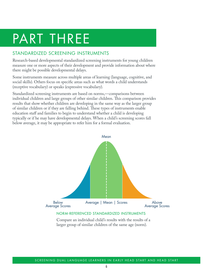## <span id="page-8-0"></span>PART THREE

## STANDARDIZED SCREENING INSTRUMENTS

Research-based developmental standardized screening instruments for young children measure one or more aspects of their development and provide information about where there might be possible developmental delays.

Some instruments measure across multiple areas of learning (language, cognitive, and social skills). Others focus on specific areas such as what words a child understands (receptive vocabulary) or speaks (expressive vocabulary).

Standardized screening instruments are based on norms,—comparisons between individual children and large groups of other similar children. This comparison provides results that show whether children are developing in the same way as the larger group of similar children or if they are falling behind. These types of instruments enable education staff and families to begin to understand whether a child is developing typically or if he may have developmental delays. When a child's screening scores fall below average, it may be appropriate to refer him for a formal evaluation.



Compare an individual child's results with the results of a larger group of similar children of the same age (norm).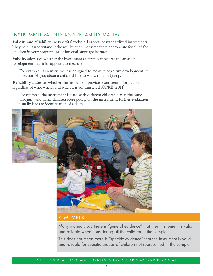## <span id="page-9-0"></span>INSTRUMENT VALIDITY AND RELIABILITY MATTER

**Validity and reliability** are two vital technical aspects of standardized instruments. They help us understand if the results of an instrument are appropriate for all of the children in your program including dual language learners.

**Validity** addresses whether the instrument accurately measures the areas of development that it is supposed to measure.

For example, if an instrument is designed to measure cognitive development, it does not tell you about a child's ability to walk, run, and jump.

**Reliability** addresses whether the instrument provides consistent information regardless of who, where, and when it is administered (OPRE, 2011).

For example, the instrument is used with different children across the same program, and when children score poorly on the instrument, further evaluation usually leads to identification of a delay.



#### REMEMBER

Many manuals say there is "general evidence" that their instrument is valid and reliable when considering all the children in the sample.

This does not mean there is "specific evidence" that the instrument is valid and reliable for specific groups of children not represented in the sample.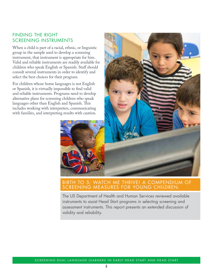### <span id="page-10-0"></span>FINDING THE RIGHT SCREENING INSTRUMENTS

When a child is part of a racial, ethnic, or linguistic group in the sample used to develop a screening instrument, that instrument is appropriate for him. Valid and reliable instruments are readily available for children who speak English or Spanish. Staff should consult several instruments in order to identify and select the best choices for their program.

For children whose home languages is not English or Spanish, it is virtually impossible to find valid and reliable instruments. Programs need to develop alternative plans for screening children who speak languages other than English and Spanish. This includes working with interpreters, communicating with families, and interpreting results with caution.



### BIRTH TO 5: WATCH ME THRIVE! A COMPENDIUM OF SCREENING MEASURES FOR YOUNG CHILDREN.

The US Department of Health and Human Services reviewed available instruments to assist Head Start programs in selecting screening and assessment instruments. This report presents an extended discussion of validity and reliability.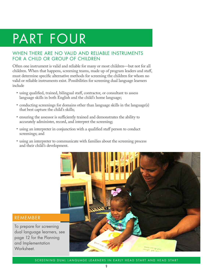## <span id="page-11-0"></span>PART FOUR

## WHEN THERE ARE NO VALID AND RELIABLE INSTRUMENTS FOR A CHILD OR GROUP OF CHILDREN

Often one instrument is valid and reliable for many or most children—but not for all children. When that happens, screening teams, made up of program leaders and staff, must determine specific alternative methods for screening the children for whom no valid or reliable instruments exist. Possibilities for screening dual language learners include

- using qualified, trained, bilingual staff, contractor, or consultant to assess language skills in both English and the child's home language;
- conducting screenings for domains other than language skills in the language(s) that best capture the child's skills;
- ensuring the assessor is sufficiently trained and demonstrates the ability to accurately administer, record, and interpret the screening;
- using an interpreter in conjunction with a qualified staff person to conduct screenings; and
- using an interpreter to communicate with families about the screening process and their child's development.



#### REMEMBER

To prepare for screening dual language learners, see page 12 for the Planning and Implementation Worksheet.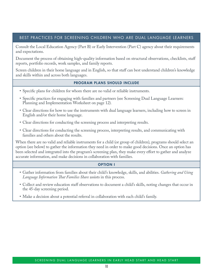#### BEST PRACTICES FOR SCREENING CHILDREN WHO ARE DUAL LANGUAGE LEARNERS

Consult the Local Education Agency (Part B) or Early Intervention (Part C) agency about their requirements and expectations.

Document the process of obtaining high-quality information based on structural observations, checklists, staff reports, portfolio records, work samples, and family reports.

Screen children in their home language and in English, so that staff can best understand children's knowledge and skills within and across both languages.

#### PROGRAM PLANS SHOULD INCLUDE

- Specific plans for children for whom there are no valid or reliable instruments.
- Specific practices for engaging with families and partners (see Screening Dual Language Learners: Planning and Implementation Worksheet on page 12).
- Clear directions for how to use the instruments with dual language learners, including how to screen in English and/or their home language.
- Clear directions for conducting the screening process and interpreting results.
- Clear directions for conducting the screening process, interpreting results, and communicating with families and others about the results.

When there are no valid and reliable instruments for a child (or group of children), programs should select an option (see below) to gather the information they need in order to make good decisions. Once an option has been selected and integrated into the program's screening plan, they make every effort to gather and analyze accurate information, and make decisions in collaboration with families.

#### OPTION I

- Gather information from families about their child's knowledge, skills, and abilities. *Gathering and Using Language Information That Families Share* assists in this process.
- Collect and review education staff observations to document a child's skills, noting changes that occur in the 45-day screening period.
- Make a decision about a potential referral in collaboration with each child's family.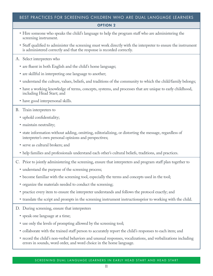#### BEST PRACTICES FOR SCREENING CHILDREN WHO ARE DUAL LANGUAGE LEARNERS

#### OPTION 2

- Hire someone who speaks the child's language to help the program staff who are administering the screening instrument.
- Staff qualified to administer the screening must work directly with the interpreter to ensure the instrument is administered correctly and that the response is recorded correctly.

#### A. Select interpreters who

- are fluent in both English and the child's home language;
- are skillful in interpreting one language to another;
- understand the culture, values, beliefs, and traditions of the community to which the child/family belongs;
- have a working knowledge of terms, concepts, systems, and processes that are unique to early childhood, including Head Start; and
- have good interpersonal skills.

#### B. Train interpreters to

- uphold confidentiality;
- maintain neutrality;
- state information without adding, omitting, editorializing, or distorting the message, regardless of interpreter's own personal opinions and perspectives;
- serve as cultural brokers; and
- help families and professionals understand each other's cultural beliefs, traditions, and practices.
- C. Prior to jointly administering the screening, ensure that interpreters and program staff plan together to
	- understand the purpose of the screening process;
	- become familiar with the screening tool, especially the terms and concepts used in the tool;
	- organize the materials needed to conduct the screening;
	- practice every item to ensure the interpreter understands and follows the protocol exactly; and
	- translate the script and prompts in the screening instrument instructionsprior to working with the child.
- D. During screening, ensure that interpreters
	- speak one language at a time;
	- use only the levels of prompting allowed by the screening tool;
	- collaborate with the trained staff person to accurately report the child's responses to each item; and
	- record the child's non-verbal behaviors and unusual responses, vocalizations, and verbalizations including errors in sounds, word order, and word choice in the home language.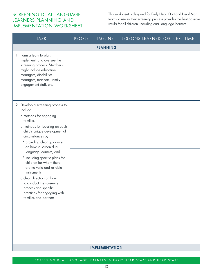## <span id="page-14-0"></span>SCREENING DUAL LANGUAGE LEARNERS PLANNING AND IMPLEMENTATION WORKSHEET

This worksheet is designed for Early Head Start and Head Start teams to use so their screening process provides the best possible results for all children, including dual language learners.

| <b>TASK</b>                                                                                                                                                                                                                                                                                                                     | <b>PEOPLE</b> | TIMELINE              | LESSONS LEARNED FOR NEXT TIME |  |  |  |  |
|---------------------------------------------------------------------------------------------------------------------------------------------------------------------------------------------------------------------------------------------------------------------------------------------------------------------------------|---------------|-----------------------|-------------------------------|--|--|--|--|
| <b>PLANNING</b>                                                                                                                                                                                                                                                                                                                 |               |                       |                               |  |  |  |  |
| 1. Form a team to plan,<br>implement, and oversee the<br>screening process. Members<br>might include education<br>managers, disabilities<br>managers, teachers, family<br>engagement staff, etc.                                                                                                                                |               |                       |                               |  |  |  |  |
| 2. Develop a screening process to<br>include<br>a.methods for engaging<br>families                                                                                                                                                                                                                                              |               |                       |                               |  |  |  |  |
| b.methods for focusing on each<br>child's unique developmental<br>circumstances by                                                                                                                                                                                                                                              |               |                       |                               |  |  |  |  |
| * providing clear guidance<br>on how to screen dual<br>language learners, and<br>* including specific plans for<br>children for whom there<br>are no valid and reliable<br>instruments<br>c.clear direction on how<br>to conduct the screening<br>process and specific<br>practices for engaging with<br>families and partners. |               |                       |                               |  |  |  |  |
|                                                                                                                                                                                                                                                                                                                                 |               | <b>IMPLEMENTATION</b> |                               |  |  |  |  |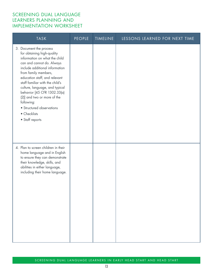### <span id="page-15-0"></span>SCREENING DUAL LANGUAGE LEARNERS PLANNING AND IMPLEMENTATION WORKSHEET

| <b>TASK</b>                                                                                                                                                                                                                                                                                                                                                                                                                     | <b>PEOPLE</b> | TIMELINE | LESSONS LEARNED FOR NEXT TIME |
|---------------------------------------------------------------------------------------------------------------------------------------------------------------------------------------------------------------------------------------------------------------------------------------------------------------------------------------------------------------------------------------------------------------------------------|---------------|----------|-------------------------------|
| 3. Document the process<br>for obtaining high-quality<br>information on what the child<br>can and cannot do. Always<br>include additional information<br>from family members,<br>education staff, and relevant<br>staff familiar with the child's<br>culture, language, and typical<br>behavior [45 CFR 1302.33(a)<br>(2)] and two or more of the<br>following:<br>• Structured observations<br>• Checklists<br>• Staff reports |               |          |                               |
| 4. Plan to screen children in their<br>home language and in English<br>to ensure they can demonstrate<br>their knowledge, skills, and<br>abilities in either language,<br>including their home language.                                                                                                                                                                                                                        |               |          |                               |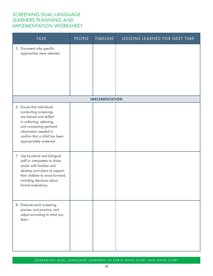### <span id="page-16-0"></span>SCREENING DUAL LANGUAGE LEARNERS PLANNING AND IMPLEMENTATION WORKSHEET

| <b>TASK</b>                                                                                                                                                                                                                  | <b>PEOPLE</b> | <b>TIMELINE</b> | LESSONS LEARNED FOR NEXT TIME |  |  |  |
|------------------------------------------------------------------------------------------------------------------------------------------------------------------------------------------------------------------------------|---------------|-----------------|-------------------------------|--|--|--|
| 5. Document why specific<br>approaches were selected.                                                                                                                                                                        |               |                 |                               |  |  |  |
| <b>IMPLEMENTATION</b>                                                                                                                                                                                                        |               |                 |                               |  |  |  |
| 6. Ensure that individuals<br>conducting screenings<br>are trained and skilled<br>in collecting, selecting,<br>and connecting pertinent<br>information needed to<br>confirm that a child has been<br>appropriately screened. |               |                 |                               |  |  |  |
| 7. Use bicultural and bilingual<br>staff or interpreters to share<br>results with families and<br>develop joint plans to support<br>their children to move forward,<br>including decisions about<br>formal evaluations.      |               |                 |                               |  |  |  |
| 8. Evaluate each screening<br>process and practice, and<br>adjust according to what you<br>learn.                                                                                                                            |               |                 |                               |  |  |  |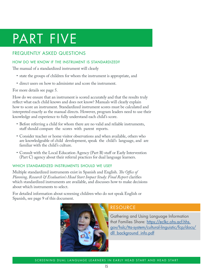## <span id="page-17-0"></span>PART FIVE

## FREQUENTLY ASKED QUESTIONS

#### HOW DO WE KNOW IF THE INSTRUMENT IS STANDARDIZED?

The manual of a standardized instrument will clearly

- state the groups of children for whom the instrument is appropriate, and
- direct users on how to administer and score the instrument.

#### For more details see page 5.

How do we ensure that an instrument is scored accurately and that the results truly reflect what each child knows and does not know? Manuals will clearly explain how to score an instrument. Standardized instrument scores must be calculated and interpreted exactly as the manual directs. However, program leaders need to use their knowledge and experience to fully understand each child's score.

- Before referring a child for whom there are no valid and reliable instruments, staff should compare the scores with parent reports.
- Consider teacher or home visitor observations and when available, others who are knowledgeable of child development, speak the child's language, and are familiar with the child's culture.
- Consult with the Local Education Agency (Part B) staff or Early Intervention (Part C) agency about their referral practices for dual language learners.

#### WHICH STANDARDIZED INSTRUMENTS SHOULD WE USE?

Multiple standardized instruments exist in Spanish and English. *The Office of Planning, Research & Evaluation's Head Start Impact Study: Final Report* clarifies which standardized instruments are available, and discusses how to make decisions about which instruments to select.

For detailed information about screening children who do not speak English or Spanish, see page 9 of this document.



## RESOURCE

Gathering and Using Language Information that Families Share: [https://eclkc.ohs.acf.hhs.](https://eclkc.ohs.acf.hhs.gov/hslc/tta-system/cultural-linguistic/fcp/docs/dll_background_info.pdf) gov/hslc/tta-system/cultural-linguistic/fcp/docs/ dll background info.pdf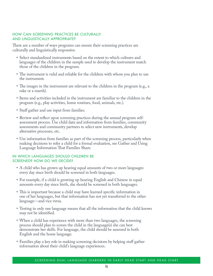#### HOW CAN SCREENING PRACTICES BE CULTURALLY AND LINGUISTICALLY APPROPRIATE?

There are a number of ways programs can ensure their screening practices are culturally and linguistically responsive.

- Select standardized instruments based on the extent to which cultures and languages of the children in the sample used to develop the instrument match those of the children in the program.
- The instrument is valid and reliable for the children with whom you plan to use the instrument.
- The images in the instrument are relevant to the children in the program (e.g., a rake or a marsh).
- Items and activities included in the instrument are familiar to the children in the program (e.g., play activities, home routines, food, animals, etc.).
- Staff gather and use input from families.
- Review and reflect upon screening practices during the annual program selfassessment process. Use child data and information from families, community assessments and community partners to select new instruments, develop alternative processes, etc.
- Use information from families as part of the screening process, particularly when making decisions to refer a child for a formal evaluation, see Gather and Using Language Information That Families Share.

#### IN WHICH LANGUAGES SHOULD CHILDREN BE SCREENED? HOW DO WE DECIDE?

- A child who has grown up hearing equal amounts of two or more languages every day since birth should be screened in both languages.
- For example, if a child is growing up hearing English and Chinese in equal amounts every day since birth, she should be screened in both languages.
- This is important because a child may have learned specific information in one of her languages, but that information has not yet transferred to the other language—and vice versa.
- Testing in only one language means that all the information that the child knows may not be identified.
- When a child has experience with more than two languages, the screening process should plan to screen the child in the language(s) she can best demonstrate her skills. For language, the child should be assessed in both English and the home language.
- Families play a key role in making screening decisions by helping staff gather information about their child's language experiences.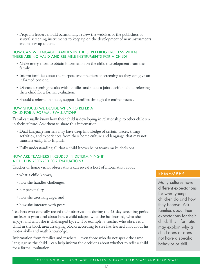• Program leaders should occasionally review the websites of the publishers of several screening instruments to keep up on the development of new instruments and to stay up to date.

#### HOW CAN WE ENGAGE FAMILIES IN THE SCREENING PROCESS WHEN THERE ARE NO VALID AND RELIABLE INSTRUMENTS FOR A CHILD?

- Make every effort to obtain information on the child's development from the family.
- Inform families about the purpose and practices of screening so they can give an informed consent.
- Discuss screening results with families and make a joint decision about referring their child for a formal evaluation.
- Should a referral be made, support families through the entire process.

#### HOW SHOULD WE DECIDE WHEN TO REFER A CHILD FOR A FORMAL EVALUATION?

Families usually know how their child is developing in relationship to other children in their culture. Ask them to share this information.

- Dual language learners may have deep knowledge of certain places, things, activities, and experiences from their home culture and language that may not translate easily into English.
- Fully understanding all that a child knows helps teams make decisions.

#### HOW ARE TEACHERS INCLUDED IN DETERMINING IF A CHILD IS REFERRED FOR EVALUATION?

Teacher or home visitor observations can reveal a host of information about

- what a child knows,
- how she handles challenges,
- her personality,
- how she uses language, and
- how she interacts with peers.

Teachers who carefully record their observations during the 45-day screening period can learn a great deal about how a child adapts, what she has learned, what she enjoys, and what she is challenged by, etc. For example, a teacher who observes a child in the block area arranging blocks according to size has learned a lot about his motor skills and math knowledge.

Information from families and teachers—even those who do not speak the same language as the child—can help inform the decisions about whether to refer a child for a formal evaluation.

### REMEMBER

Many cultures have different expectations for what young children do and how they behave. Ask families about their expectations for their child. This information may explain why a child does or does not have a specific behavior or skill.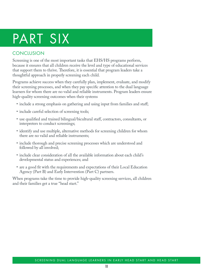## <span id="page-20-0"></span>PART SIX

## **CONCLUSION**

Screening is one of the most important tasks that EHS/HS programs perform, because it ensures that all children receive the level and type of educational services that support them to thrive. Therefore, it is essential that program leaders take a thoughtful approach in properly screening each child.

Programs achieve success when they carefully plan, implement, evaluate, and modify their screening processes, and when they pay specific attention to the dual language learners for whom there are no valid and reliable instruments. Program leaders ensure high-quality screening outcomes when their systems

- include a strong emphasis on gathering and using input from families and staff;
- include careful selection of screening tools;
- use qualified and trained bilingual/bicultural staff, contractors, consultants, or interpreters to conduct screenings;
- identify and use multiple, alternative methods for screening children for whom there are no valid and reliable instruments;
- include thorough and precise screening processes which are understood and followed by all involved;
- include clear consideration of all the available information about each child's developmental status and experiences; and
- are a good fit with the requirements and expectations of their Local Education Agency (Part B) and Early Intervention (Part C) partners.

When programs take the time to provide high-quality screening services, all children and their families get a true "head start."